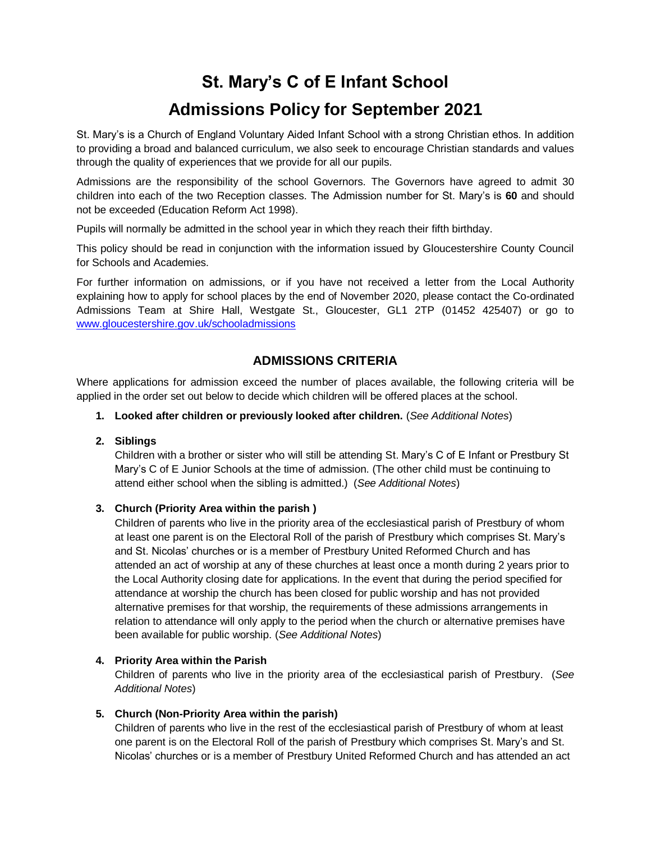# **St. Mary's C of E Infant School**

# **Admissions Policy for September 2021**

St. Mary's is a Church of England Voluntary Aided Infant School with a strong Christian ethos. In addition to providing a broad and balanced curriculum, we also seek to encourage Christian standards and values through the quality of experiences that we provide for all our pupils.

Admissions are the responsibility of the school Governors. The Governors have agreed to admit 30 children into each of the two Reception classes. The Admission number for St. Mary's is **60** and should not be exceeded (Education Reform Act 1998).

Pupils will normally be admitted in the school year in which they reach their fifth birthday.

This policy should be read in conjunction with the information issued by Gloucestershire County Council for Schools and Academies.

For further information on admissions, or if you have not received a letter from the Local Authority explaining how to apply for school places by the end of November 2020, please contact the Co-ordinated Admissions Team at Shire Hall, Westgate St., Gloucester, GL1 2TP (01452 425407) or go to [www.gloucestershire.gov.uk/schooladmissions](http://www.gloucestershire.gov.uk/schooladmissions) 

## **ADMISSIONS CRITERIA**

Where applications for admission exceed the number of places available, the following criteria will be applied in the order set out below to decide which children will be offered places at the school.

#### **1. Looked after children or previously looked after children.** (*See Additional Notes*)

### **2. Siblings**

Children with a brother or sister who will still be attending St. Mary's C of E Infant or Prestbury St Mary's C of E Junior Schools at the time of admission. (The other child must be continuing to attend either school when the sibling is admitted.) (*See Additional Notes*)

### **3. Church (Priority Area within the parish )**

Children of parents who live in the priority area of the ecclesiastical parish of Prestbury of whom at least one parent is on the Electoral Roll of the parish of Prestbury which comprises St. Mary's and St. Nicolas' churches or is a member of Prestbury United Reformed Church and has attended an act of worship at any of these churches at least once a month during 2 years prior to the Local Authority closing date for applications. In the event that during the period specified for attendance at worship the church has been closed for public worship and has not provided alternative premises for that worship, the requirements of these admissions arrangements in relation to attendance will only apply to the period when the church or alternative premises have been available for public worship. (*See Additional Notes*)

### **4. Priority Area within the Parish**

Children of parents who live in the priority area of the ecclesiastical parish of Prestbury. (*See Additional Notes*)

### **5. Church (Non-Priority Area within the parish)**

Children of parents who live in the rest of the ecclesiastical parish of Prestbury of whom at least one parent is on the Electoral Roll of the parish of Prestbury which comprises St. Mary's and St. Nicolas' churches or is a member of Prestbury United Reformed Church and has attended an act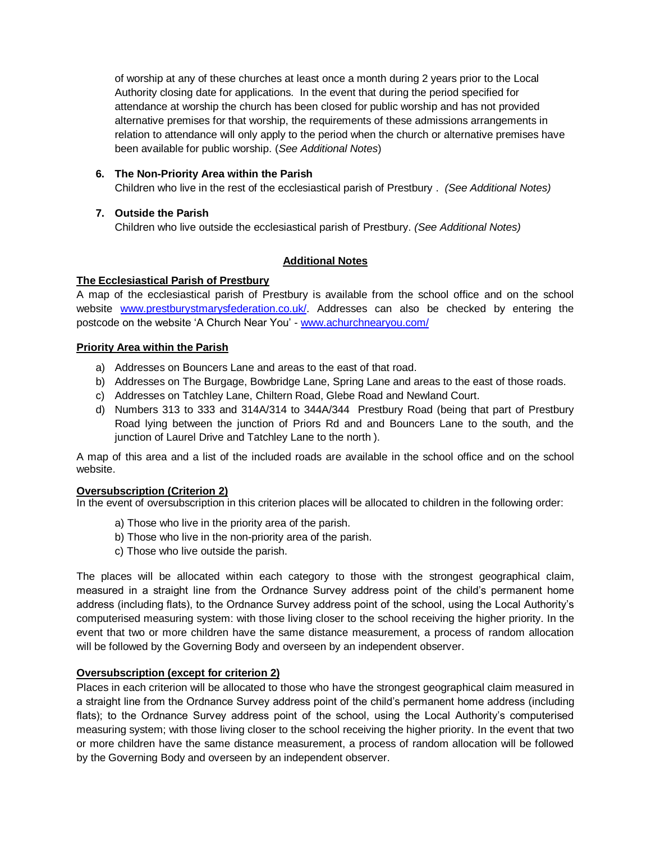of worship at any of these churches at least once a month during 2 years prior to the Local Authority closing date for applications. In the event that during the period specified for attendance at worship the church has been closed for public worship and has not provided alternative premises for that worship, the requirements of these admissions arrangements in relation to attendance will only apply to the period when the church or alternative premises have been available for public worship. (*See Additional Notes*)

### **6. The Non-Priority Area within the Parish**

Children who live in the rest of the ecclesiastical parish of Prestbury . *(See Additional Notes)*

### **7. Outside the Parish**

Children who live outside the ecclesiastical parish of Prestbury. *(See Additional Notes)*

### **Additional Notes**

#### **The Ecclesiastical Parish of Prestbury**

A map of the ecclesiastical parish of Prestbury is available from the school office and on the school website [www.prestburystmarysfederation.co.uk/.](http://www.prestburystmarysfederation.co.uk/) Addresses can also be checked by entering the postcode on the website 'A Church Near You' - [www.achurchnearyou.com/](http://www.achurchnearyou.com/)

#### **Priority Area within the Parish**

- a) Addresses on Bouncers Lane and areas to the east of that road.
- b) Addresses on The Burgage, Bowbridge Lane, Spring Lane and areas to the east of those roads.
- c) Addresses on Tatchley Lane, Chiltern Road, Glebe Road and Newland Court.
- d) Numbers 313 to 333 and 314A/314 to 344A/344 Prestbury Road (being that part of Prestbury Road lying between the junction of Priors Rd and and Bouncers Lane to the south, and the junction of Laurel Drive and Tatchley Lane to the north ).

A map of this area and a list of the included roads are available in the school office and on the school website.

#### **Oversubscription (Criterion 2)**

In the event of oversubscription in this criterion places will be allocated to children in the following order:

- a) Those who live in the priority area of the parish.
- b) Those who live in the non-priority area of the parish.
- c) Those who live outside the parish.

The places will be allocated within each category to those with the strongest geographical claim, measured in a straight line from the Ordnance Survey address point of the child's permanent home address (including flats), to the Ordnance Survey address point of the school, using the Local Authority's computerised measuring system: with those living closer to the school receiving the higher priority. In the event that two or more children have the same distance measurement, a process of random allocation will be followed by the Governing Body and overseen by an independent observer.

#### **Oversubscription (except for criterion 2)**

Places in each criterion will be allocated to those who have the strongest geographical claim measured in a straight line from the Ordnance Survey address point of the child's permanent home address (including flats); to the Ordnance Survey address point of the school, using the Local Authority's computerised measuring system; with those living closer to the school receiving the higher priority. In the event that two or more children have the same distance measurement, a process of random allocation will be followed by the Governing Body and overseen by an independent observer.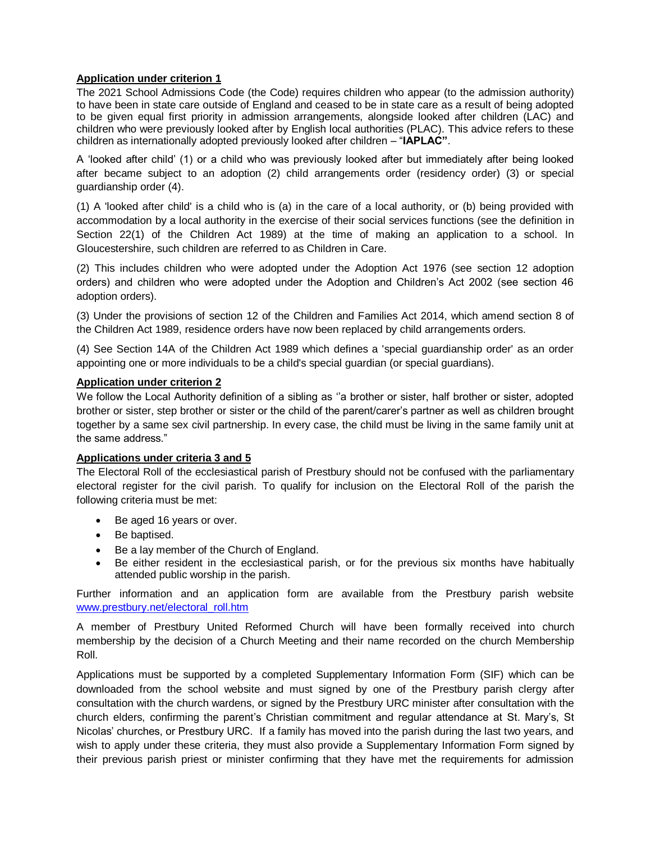### **Application under criterion 1**

The 2021 School Admissions Code (the Code) requires children who appear (to the admission authority) to have been in state care outside of England and ceased to be in state care as a result of being adopted to be given equal first priority in admission arrangements, alongside looked after children (LAC) and children who were previously looked after by English local authorities (PLAC). This advice refers to these children as internationally adopted previously looked after children – "**IAPLAC"**.

A 'looked after child' (1) or a child who was previously looked after but immediately after being looked after became subject to an adoption (2) child arrangements order (residency order) (3) or special guardianship order (4).

(1) A 'looked after child' is a child who is (a) in the care of a local authority, or (b) being provided with accommodation by a local authority in the exercise of their social services functions (see the definition in Section 22(1) of the Children Act 1989) at the time of making an application to a school. In Gloucestershire, such children are referred to as Children in Care.

(2) This includes children who were adopted under the Adoption Act 1976 (see section 12 adoption orders) and children who were adopted under the Adoption and Children's Act 2002 (see section 46 adoption orders).

(3) Under the provisions of section 12 of the Children and Families Act 2014, which amend section 8 of the Children Act 1989, residence orders have now been replaced by child arrangements orders.

(4) See Section 14A of the Children Act 1989 which defines a 'special guardianship order' as an order appointing one or more individuals to be a child's special guardian (or special guardians).

### **Application under criterion 2**

We follow the Local Authority definition of a sibling as ''a brother or sister, half brother or sister, adopted brother or sister, step brother or sister or the child of the parent/carer's partner as well as children brought together by a same sex civil partnership. In every case, the child must be living in the same family unit at the same address."

#### **Applications under criteria 3 and 5**

The Electoral Roll of the ecclesiastical parish of Prestbury should not be confused with the parliamentary electoral register for the civil parish. To qualify for inclusion on the Electoral Roll of the parish the following criteria must be met:

- Be aged 16 years or over.
- Be baptised.
- Be a lay member of the Church of England.
- Be either resident in the ecclesiastical parish, or for the previous six months have habitually attended public worship in the parish.

Further information and an application form are available from the Prestbury parish website [www.prestbury.net/electoral\\_roll.htm](http://www.prestbury.net/electoral_roll.htm)

A member of Prestbury United Reformed Church will have been formally received into church membership by the decision of a Church Meeting and their name recorded on the church Membership Roll.

Applications must be supported by a completed Supplementary Information Form (SIF) which can be downloaded from the school website and must signed by one of the Prestbury parish clergy after consultation with the church wardens, or signed by the Prestbury URC minister after consultation with the church elders, confirming the parent's Christian commitment and regular attendance at St. Mary's, St Nicolas' churches, or Prestbury URC. If a family has moved into the parish during the last two years, and wish to apply under these criteria, they must also provide a Supplementary Information Form signed by their previous parish priest or minister confirming that they have met the requirements for admission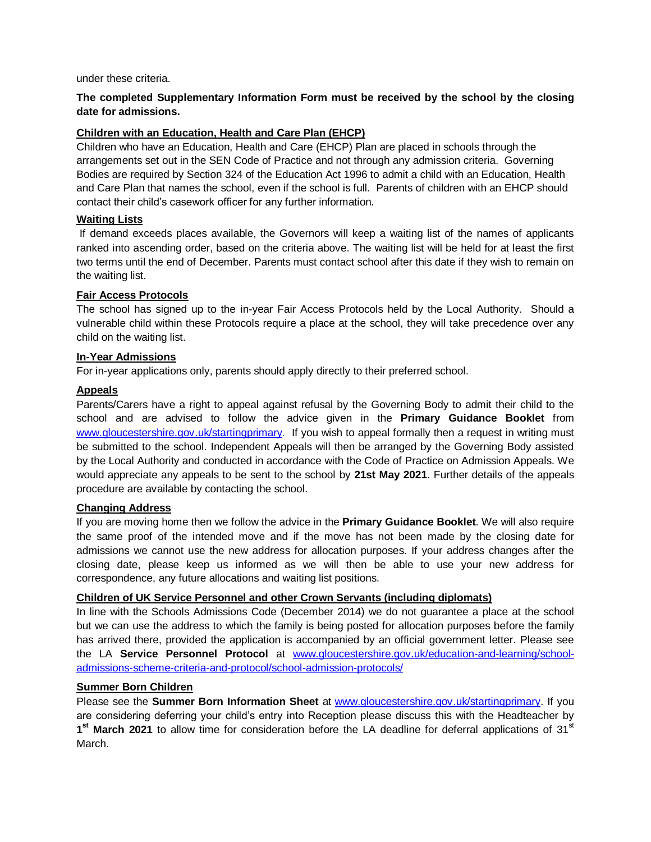under these criteria.

## **The completed Supplementary Information Form must be received by the school by the closing date for admissions.**

### **Children with an Education, Health and Care Plan (EHCP)**

Children who have an Education, Health and Care (EHCP) Plan are placed in schools through the arrangements set out in the SEN Code of Practice and not through any admission criteria. Governing Bodies are required by Section 324 of the Education Act 1996 to admit a child with an Education, Health and Care Plan that names the school, even if the school is full. Parents of children with an EHCP should contact their child's casework officer for any further information.

### **Waiting Lists**

If demand exceeds places available, the Governors will keep a waiting list of the names of applicants ranked into ascending order, based on the criteria above. The waiting list will be held for at least the first two terms until the end of December. Parents must contact school after this date if they wish to remain on the waiting list.

### **Fair Access Protocols**

The school has signed up to the in-year Fair Access Protocols held by the Local Authority. Should a vulnerable child within these Protocols require a place at the school, they will take precedence over any child on the waiting list.

### **In-Year Admissions**

For in-year applications only, parents should apply directly to their preferred school.

### **Appeals**

Parents/Carers have a right to appeal against refusal by the Governing Body to admit their child to the school and are advised to follow the advice given in the **Primary Guidance Booklet** from [www.gloucestershire.gov.uk/startingprimary.](http://www.gloucestershire.gov.uk/startingprimary) If you wish to appeal formally then a request in writing must be submitted to the school. Independent Appeals will then be arranged by the Governing Body assisted by the Local Authority and conducted in accordance with the Code of Practice on Admission Appeals. We would appreciate any appeals to be sent to the school by **21st May 2021**. Further details of the appeals procedure are available by contacting the school.

#### **Changing Address**

If you are moving home then we follow the advice in the **Primary Guidance Booklet**. We will also require the same proof of the intended move and if the move has not been made by the closing date for admissions we cannot use the new address for allocation purposes. If your address changes after the closing date, please keep us informed as we will then be able to use your new address for correspondence, any future allocations and waiting list positions.

### **Children of UK Service Personnel and other Crown Servants (including diplomats)**

In line with the Schools Admissions Code (December 2014) we do not guarantee a place at the school but we can use the address to which the family is being posted for allocation purposes before the family has arrived there, provided the application is accompanied by an official government letter. Please see the LA **Service Personnel Protocol** at [www.gloucestershire.gov.uk/education-and-learning/school](http://www.gloucestershire.gov.uk/education-and-learning/school-admissions-scheme-criteria-and-protocol/school-admission-protocols/)[admissions-scheme-criteria-and-protocol/school-admission-protocols/](http://www.gloucestershire.gov.uk/education-and-learning/school-admissions-scheme-criteria-and-protocol/school-admission-protocols/)

### **Summer Born Children**

Please see the **Summer Born Information Sheet** at [www.gloucestershire.gov.uk/startingprimary.](http://www.gloucestershire.gov.uk/startingprimary) If you are considering deferring your child's entry into Reception please discuss this with the Headteacher by 1<sup>st</sup> March 2021 to allow time for consideration before the LA deadline for deferral applications of 31<sup>st</sup> March.